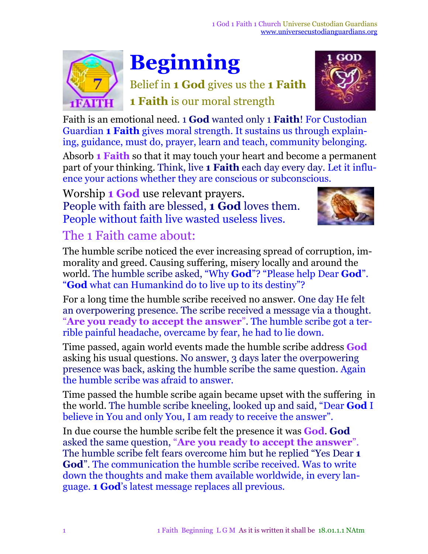

# **Beginning**

Belief in **1 God** gives us the **1 Faith 1 Faith** is our moral strength



Faith is an emotional need. 1 **God** wanted only 1 **Faith**! For Custodian Guardian **1 Faith** gives moral strength. It sustains us through explaining, guidance, must do, prayer, learn and teach, community belonging.

Absorb **1 Faith** so that it may touch your heart and become a permanent part of your thinking. Think, live **1 Faith** each day every day. Let it influence your actions whether they are conscious or subconscious.

Worship **1 God** use relevant prayers. People with faith are blessed, **1 God** loves them. People without faith live wasted useless lives.



## The 1 Faith came about:

The humble scribe noticed the ever increasing spread of corruption, immorality and greed. Causing suffering, misery locally and around the world. The humble scribe asked, "Why **God**"? "Please help Dear **God**". "**God** what can Humankind do to live up to its destiny"?

For a long time the humble scribe received no answer. One day He felt an overpowering presence. The scribe received a message via a thought. "**Are you ready to accept the answer**". The humble scribe got a terrible painful headache, overcame by fear, he had to lie down.

Time passed, again world events made the humble scribe address **God** asking his usual questions. No answer, 3 days later the overpowering presence was back, asking the humble scribe the same question. Again the humble scribe was afraid to answer.

Time passed the humble scribe again became upset with the suffering in the world. The humble scribe kneeling, looked up and said, "Dear **God** I believe in You and only You, I am ready to receive the answer".

In due course the humble scribe felt the presence it was **God**. **God** asked the same question, "**Are you ready to accept the answer**". The humble scribe felt fears overcome him but he replied "Yes Dear **1 God**". The communication the humble scribe received. Was to write down the thoughts and make them available worldwide, in every language. **1 God**'s latest message replaces all previous.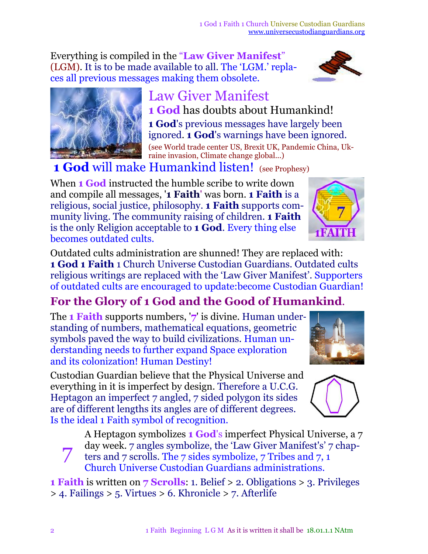Everything is compiled in the "**Law Giver Manifest**" (LGM). It is to be made available to all. The 'LGM.' replaces all previous messages making them obsolete.

#### Law Giver Manifest **1 God** has doubts about Humankind!

**1 God**'s previous messages have largely been ignored. **1 God**'s warnings have been ignored. (see World trade center US, Brexit UK, Pandemic China, Ukraine invasion, Climate change global...)

**1 God** will make Humankind listen! (see Prophesy)

When **1 God** instructed the humble scribe to write down and compile all messages, '**1 Faith**' was born. **1 Faith** is a religious, social justice, philosophy. **1 Faith** supports community living. The community raising of children. **1 Faith** is the only Religion acceptable to **1 God**. Every thing else becomes outdated cults.

Outdated cults administration are shunned! They are replaced with: **1 God 1 Faith** 1 Church Universe Custodian Guardians. Outdated cults religious writings are replaced with the 'Law Giver Manifest'. Supporters of outdated cults are encouraged to update:become Custodian Guardian!

### **For the Glory of 1 God and the Good of Humankind**.

The **1 Faith** supports numbers, '**7**' is divine. Human understanding of numbers, mathematical equations, geometric symbols paved the way to build civilizations. Human understanding needs to further expand Space exploration and its colonization! Human Destiny!

Custodian Guardian believe that the Physical Universe and everything in it is imperfect by design. Therefore a U.C.G. Heptagon an imperfect 7 angled, 7 sided polygon its sides are of different lengths its angles are of different degrees. Is the ideal 1 Faith symbol of recognition.

A Heptagon symbolizes **1 God**'s imperfect Physical Universe, a 7 day week. 7 angles symbolize, the 'Law Giver Manifest's' 7 chap-

7 ters and 7 scrolls. The 7 sides symbolize, 7 Tribes and 7, 1 Church Universe Custodian Guardians administrations.

**1 Faith** is written on **7 Scrolls**: 1. Belief > 2. Obligations > 3. Privileges > 4. Failings > 5. Virtues > 6. Khronicle > 7. Afterlife





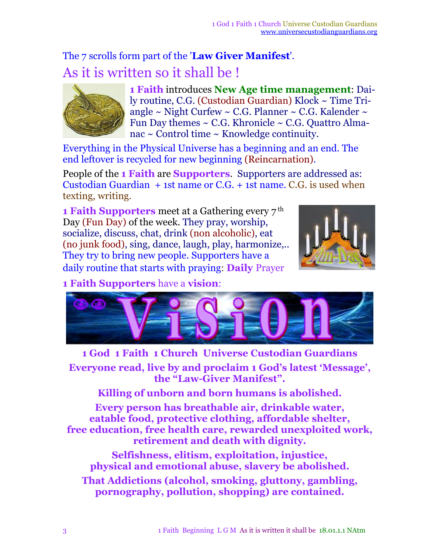## The 7 scrolls form part of the '**Law Giver Manifest**'. As it is written so it shall be !



**1 Faith** introduces **New Age time management**: Daily routine, C.G. (Custodian Guardian) Klock ~ Time Triangle  $\sim$  Night Curfew  $\sim$  C.G. Planner  $\sim$  C.G. Kalender  $\sim$ Fun Day themes  $\sim$  C.G. Khronicle  $\sim$  C.G. Quattro Almanac ~ Control time ~ Knowledge continuity.

Everything in the Physical Universe has a beginning and an end. The end leftover is recycled for new beginning (Reincarnation).

People of the **1 Faith** are **Supporters**. Supporters are addressed as: Custodian Guardian + 1st name or C.G. + 1st name. C.G. is used when texting, writing.

**1 Faith Supporters** meet at a Gathering every 7 th Day (Fun Day) of the week. They pray, worship, socialize, discuss, chat, drink (non alcoholic), eat (no junk food), sing, dance, laugh, play, harmonize,.. They try to bring new people. Supporters have a daily routine that starts with praying: **Daily** Prayer



**1 Faith Supporters** have a **vision**:



**1 God 1 Faith 1 Church Universe Custodian Guardians Everyone read, live by and proclaim 1 God's latest 'Message' , the "Law-Giver Manifest".**

**Killing of unborn and born humans is abolished.**

**Every person has breathable air, drinkable water, eatable food, protective clothing, affordable shelter, free education, free health care, rewarded unexploited work, retirement and death with dignity.**

**Selfishness, elitism, exploitation, injustice, physical and emotional abuse, slavery be abolished. That Addictions (alcohol, smoking, gluttony, gambling, pornography, pollution, shopping) are contained.**